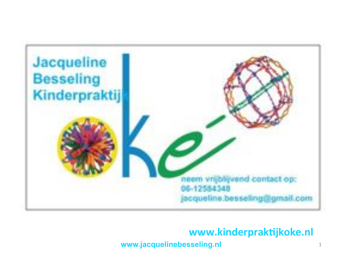

www.kinderpraktijkoke.nl

www.jacquelinebesseling.nl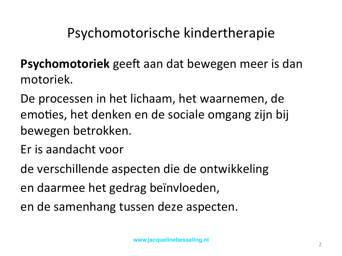Psychomotorische kindertherapie

**Psychomotoriek** geeft aan dat bewegen meer is dan motoriek.

De processen in het lichaam, het waarnemen, de emoties, het denken en de sociale omgang zijn bij bewegen betrokken.

Er is aandacht voor

de verschillende aspecten die de ontwikkeling

en daarmee het gedrag beïnvloeden,

en de samenhang tussen deze aspecten.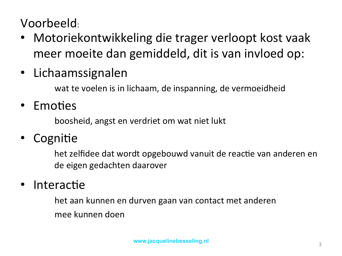Voorbeeld:

- Motoriekontwikkeling die trager verloopt kost vaak meer moeite dan gemiddeld, dit is van invloed op:
- Lichaamssignalen

wat te voelen is in lichaam, de inspanning, de vermoeidheid

• Emoties

boosheid, angst en verdriet om wat niet lukt

Cognitie

het zelfidee dat wordt opgebouwd vanuit de reactie van anderen en de eigen gedachten daarover

#### Interactie  $\bullet$

het aan kunnen en durven gaan van contact met anderen mee kunnen doen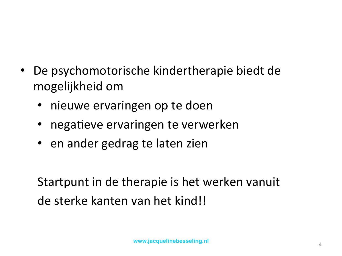- De psychomotorische kindertherapie biedt de mogelijkheid om
	- nieuwe ervaringen op te doen
	- negatieve ervaringen te verwerken
	- en ander gedrag te laten zien

Startpunt in de therapie is het werken vanuit de sterke kanten van het kind!!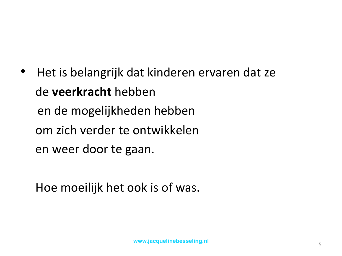Het is belangrijk dat kinderen ervaren dat ze de veerkracht hebben en de mogelijkheden hebben om zich verder te ontwikkelen en weer door te gaan.

Hoe moeilijk het ook is of was.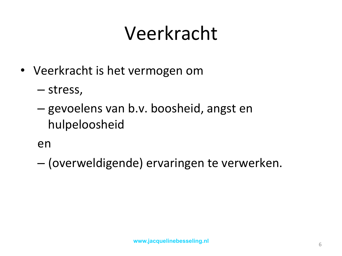# Veerkracht

- Veerkracht is het vermogen om
	- stress,
	- gevoelens van b.v. boosheid, angst en hulpeloosheid

en

- (overweldigende) ervaringen te verwerken.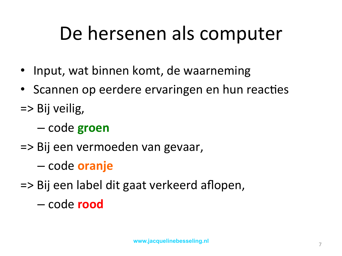#### De hersenen als computer

- Input, wat binnen komt, de waarneming
- Scannen op eerdere ervaringen en hun reacties
- $\Rightarrow$  Bij veilig,
	- code groen
- => Bij een vermoeden van gevaar,
	- code oranje
- => Bij een label dit gaat verkeerd aflopen,
	- code rood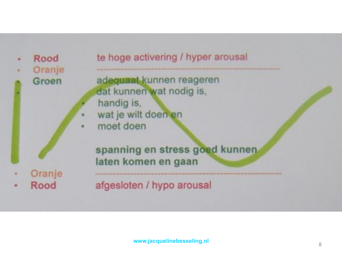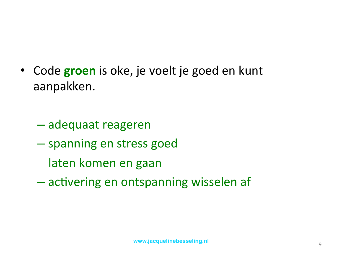- Code groen is oke, je voelt je goed en kunt aanpakken.
	- adequaat reageren
	- spanning en stress goed
		- laten komen en gaan
	- activering en ontspanning wisselen af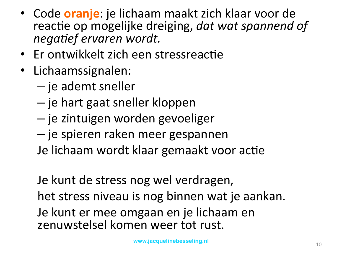- Code **oranje**: je lichaam maakt zich klaar voor de reactie op mogelijke dreiging, dat wat spannend of negatief ervaren wordt.
- Er ontwikkelt zich een stressreactie
- Lichaamssignalen:
	- $-$  je ademt sneller
	- je hart gaat sneller kloppen
	- je zintuigen worden gevoeliger
	- je spieren raken meer gespannen
	- Je lichaam wordt klaar gemaakt voor actie

Je kunt de stress nog wel verdragen, het stress niveau is nog binnen wat je aankan. Je kunt er mee omgaan en je lichaam en zenuwstelsel komen weer tot rust.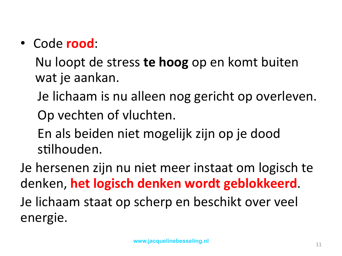• Code rood:

Nu loopt de stress te hoog op en komt buiten wat je aankan.

Je lichaam is nu alleen nog gericht op overleven.

Op vechten of vluchten.

En als beiden niet mogelijk zijn op je dood stilhouden.

Je hersenen zijn nu niet meer instaat om logisch te denken, het logisch denken wordt geblokkeerd. Je lichaam staat op scherp en beschikt over veel energie.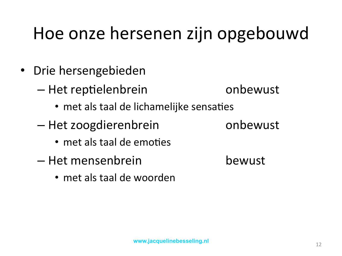#### Hoe onze hersenen zijn opgebouwd

- Drie hersengebieden
	- Het reptielenbrein
		- met als taal de lichamelijke sensaties
	- Het zoogdierenbrein
		- met als taal de emoties
	- Het mensenbrein
		- met als taal de woorden

onbewust

onbewust

bewust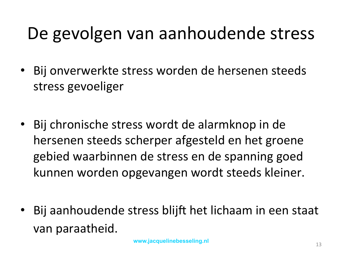#### De gevolgen van aanhoudende stress

- · Bij onverwerkte stress worden de hersenen steeds stress gevoeliger
- Bij chronische stress wordt de alarmknop in de hersenen steeds scherper afgesteld en het groene gebied waarbinnen de stress en de spanning goed kunnen worden opgevangen wordt steeds kleiner.
- Bij aanhoudende stress blijft het lichaam in een staat van paraatheid.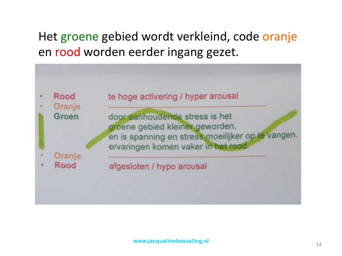Het groene gebied wordt verkleind, code oranje en rood worden eerder ingang gezet.

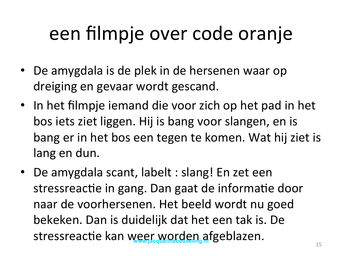# een filmpje over code oranje

- De amygdala is de plek in de hersenen waar op dreiging en gevaar wordt gescand.
- In het filmpje iemand die voor zich op het pad in het bos iets ziet liggen. Hij is bang voor slangen, en is bang er in het bos een tegen te komen. Wat hij ziet is lang en dun.
- De amygdala scant, labelt : slang! En zet een stressreactie in gang. Dan gaat de informatie door naar de voorhersenen. Het beeld wordt nu goed bekeken. Dan is duidelijk dat het een tak is. De stressreactie kan weer worden afgeblazen.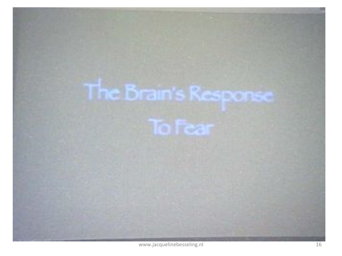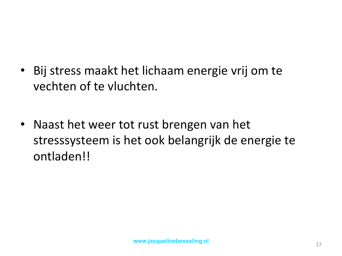- Bij stress maakt het lichaam energie vrij om te vechten of te vluchten.
- Naast het weer tot rust brengen van het stresssysteem is het ook belangrijk de energie te ontladen!!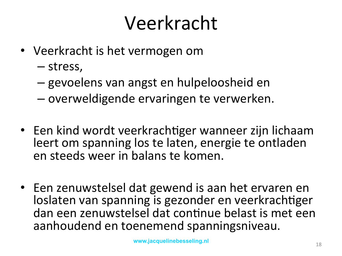# Veerkracht

- Veerkracht is het vermogen om
	- stress,
	- gevoelens van angst en hulpeloosheid en
	- overweldigende ervaringen te verwerken.
- Een kind wordt veerkrachtiger wanneer zijn lichaam leert om spanning los te laten, energie te ontladen en steeds weer in balans te komen.
- Een zenuwstelsel dat gewend is aan het ervaren en loslaten van spanning is gezonder en veerkrachtiger dan een zenuwstelsel dat continue belast is met een aanhoudend en toenemend spanningsniveau.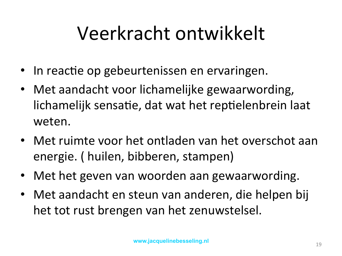# Veerkracht ontwikkelt

- In reactie op gebeurtenissen en ervaringen.
- Met aandacht voor lichamelijke gewaarwording, lichamelijk sensatie, dat wat het reptielenbrein laat weten.
- Met ruimte voor het ontladen van het overschot aan energie. (huilen, bibberen, stampen)
- Met het geven van woorden aan gewaarwording.
- Met aandacht en steun van anderen, die helpen bij het tot rust brengen van het zenuwstelsel.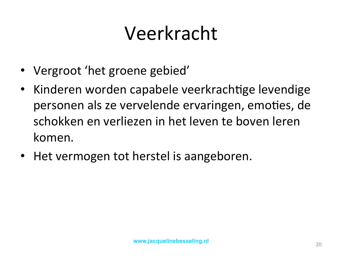# Veerkracht

- Vergroot 'het groene gebied'
- Kinderen worden capabele veerkrachtige levendige personen als ze vervelende ervaringen, emoties, de schokken en verliezen in het leven te boven leren komen.
- Het vermogen tot herstel is aangeboren.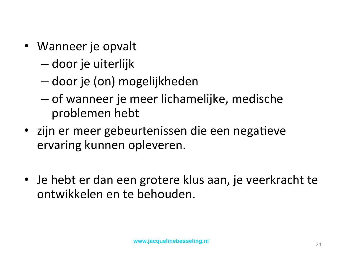- Wanneer je opvalt
	- door je uiterlijk
	- door je (on) mogelijkheden
	- of wanneer je meer lichamelijke, medische problemen hebt
- zijn er meer gebeurtenissen die een negatieve ervaring kunnen opleveren.
- Je hebt er dan een grotere klus aan, je veerkracht te ontwikkelen en te behouden.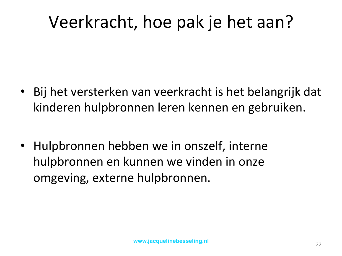#### Veerkracht, hoe pak je het aan?

- Bij het versterken van veerkracht is het belangrijk dat kinderen hulpbronnen leren kennen en gebruiken.
- Hulpbronnen hebben we in onszelf, interne hulpbronnen en kunnen we vinden in onze omgeving, externe hulpbronnen.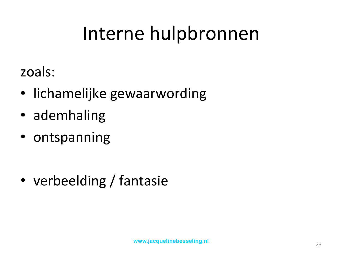### Interne hulpbronnen

zoals:

- lichamelijke gewaarwording
- ademhaling
- ontspanning

• verbeelding / fantasie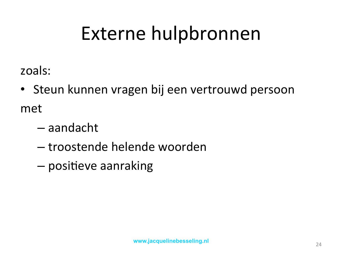### Externe hulpbronnen

zoals:

- Steun kunnen vragen bij een vertrouwd persoon met
	- $-$ aandacht
	- troostende helende woorden
	- positieve aanraking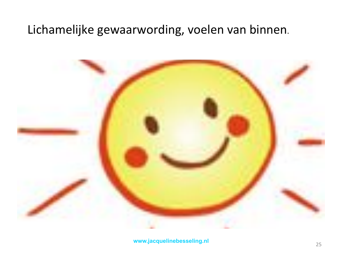#### Lichamelijke gewaarwording, voelen van binnen.



www.jacquelinebesseling.nl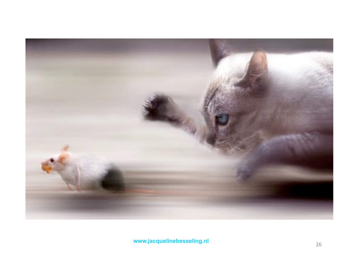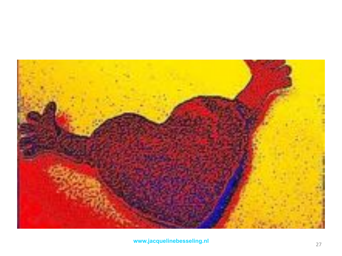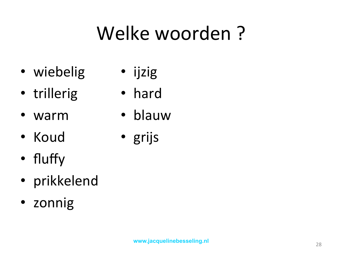# Welke woorden?

- wiebelig
- · trillerig
- warm
- Koud
- fluffy
- · prikkelend
- zonnig
- · ijzig
- hard
- blauw
- · grijs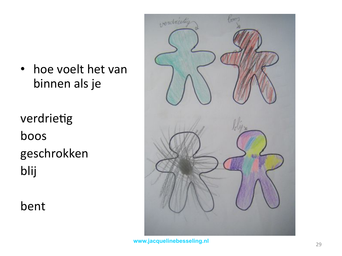• hoe voelt het van binnen als je

verdrietig boos geschrokken blij

bent

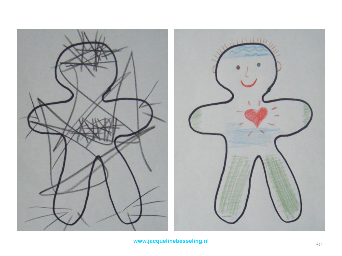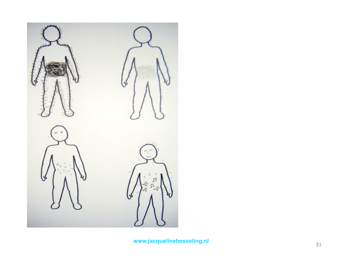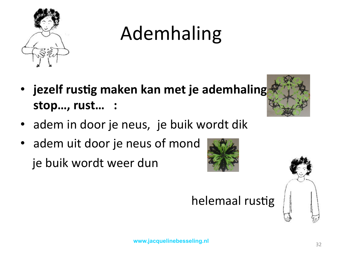

# Ademhaling

- · jezelf rustig maken kan met je ademhaling stop..., rust... :
- adem in door je neus, je buik wordt dik
- · adem uit door je neus of mond je buik wordt weer dun



#### helemaal rustig

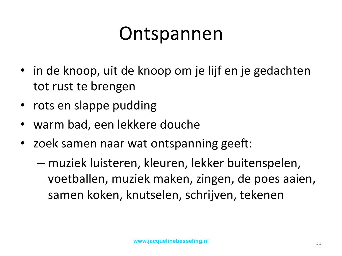#### Ontspannen

- in de knoop, uit de knoop om je lijf en je gedachten tot rust te brengen
- rots en slappe pudding
- warm bad, een lekkere douche
- zoek samen naar wat ontspanning geeft:
	- muziek luisteren, kleuren, lekker buitenspelen, voetballen, muziek maken, zingen, de poes aaien, samen koken, knutselen, schrijven, tekenen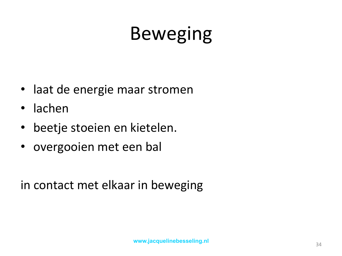### **Beweging**

- laat de energie maar stromen
- lachen
- beetje stoeien en kietelen.  $\bullet$
- overgooien met een bal

in contact met elkaar in beweging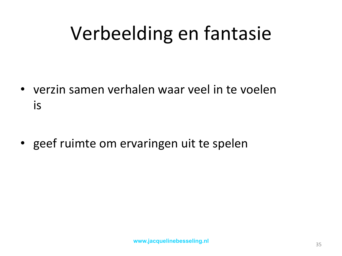# Verbeelding en fantasie

- verzin samen verhalen waar veel in te voelen *is*
- geef ruimte om ervaringen uit te spelen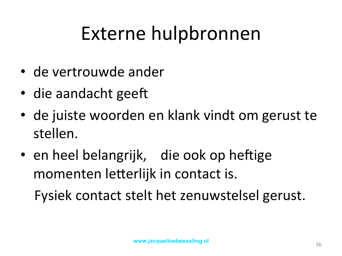### Externe hulpbronnen

- de vertrouwde ander
- die aandacht geeft
- de juiste woorden en klank vindt om gerust te stellen.
- en heel belangrijk, die ook op heftige momenten letterlijk in contact is. Fysiek contact stelt het zenuwstelsel gerust.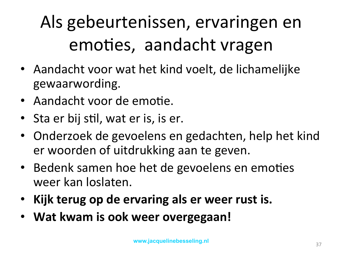#### Als gebeurtenissen, ervaringen en emoties, aandacht vragen

- Aandacht voor wat het kind voelt, de lichamelijke gewaarwording.
- Aandacht voor de emotie.
- Sta er bij stil, wat er is, is er.
- Onderzoek de gevoelens en gedachten, help het kind er woorden of uitdrukking aan te geven.
- Bedenk samen hoe het de gevoelens en emoties weer kan loslaten.
- Kijk terug op de ervaring als er weer rust is.
- Wat kwam is ook weer overgegaan!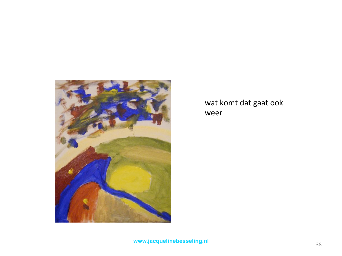

wat komt dat gaat ook weer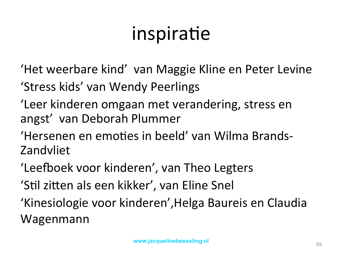# inspiratie

- 'Het weerbare kind' van Maggie Kline en Peter Levine 'Stress kids' van Wendy Peerlings
- 'Leer kinderen omgaan met verandering, stress en angst' van Deborah Plummer
- 'Hersenen en emoties in beeld' van Wilma Brands-Zandvliet
- 'Leefboek voor kinderen', van Theo Legters
- 'Stil zitten als een kikker', van Eline Snel
- 'Kinesiologie voor kinderen', Helga Baureis en Claudia Wagenmann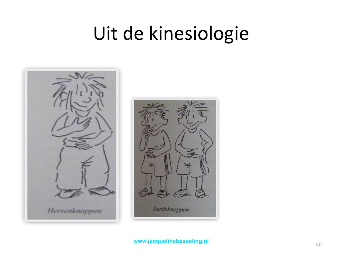#### Uit de kinesiologie

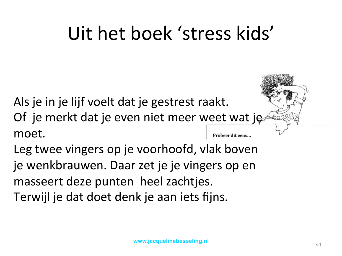#### Uit het boek 'stress kids'

Als je in je lijf voelt dat je gestrest raakt. Of je merkt dat je even niet meer weet wat je moet. Probeer dit eens...

Leg twee vingers op je voorhoofd, vlak boven je wenkbrauwen. Daar zet je je vingers op en masseert deze punten heel zachtjes. Terwijl je dat doet denk je aan iets fijns.

Control 0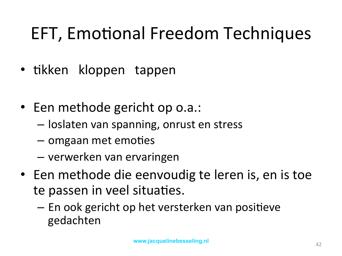#### EFT, Emotional Freedom Techniques

- tikken kloppen tappen
- Een methode gericht op o.a.:
	- loslaten van spanning, onrust en stress
	- omgaan met emoties
	- verwerken van ervaringen
- Een methode die eenvoudig te leren is, en is toe te passen in veel situaties.
	- En ook gericht op het versterken van positieve gedachten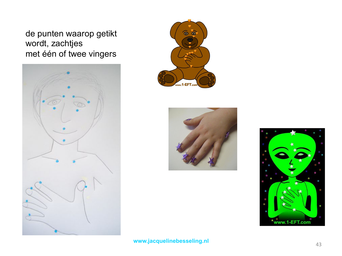de punten waarop getikt wordt, zachtjes met één of twee vingers









MJ! **www.jacquelinebesseling.nl**